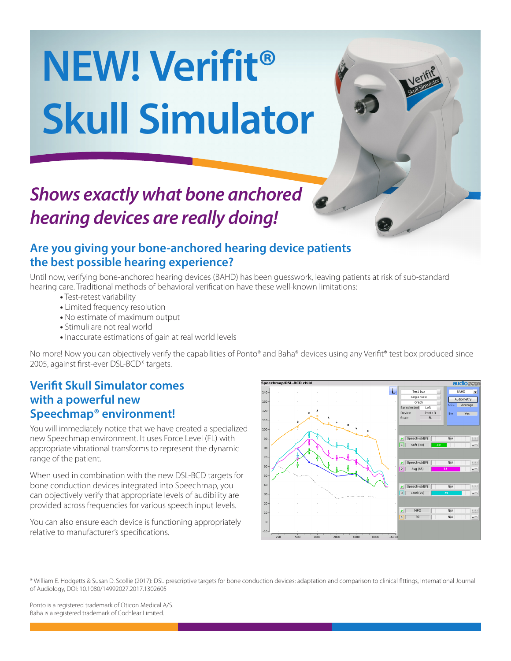# **NEW! Verifit® Skull Simulator**

## *Shows exactly what bone anchored hearing devices are really doing!*

#### **Are you giving your bone-anchored hearing device patients the best possible hearing experience?**

Until now, verifying bone-anchored hearing devices (BAHD) has been guesswork, leaving patients at risk of sub-standard hearing care. Traditional methods of behavioral verification have these well-known limitations:

- **•** Test-retest variability
- **•** Limited frequency resolution
- **•** No estimate of maximum output
- **•** Stimuli are not real world
- **•** Inaccurate estimations of gain at real world levels

No more! Now you can objectively verify the capabilities of Ponto® and Baha® devices using any Verifit® test box produced since 2005, against first-ever DSL-BCD\* targets.

#### **Verifit Skull Simulator comes with a powerful new Speechmap® environment!**

You will immediately notice that we have created a specialized new Speechmap environment. It uses Force Level (FL) with appropriate vibrational transforms to represent the dynamic range of the patient.

When used in combination with the new DSL-BCD targets for bone conduction devices integrated into Speechmap, you can objectively verify that appropriate levels of audibility are provided across frequencies for various speech input levels.

You can also ensure each device is functioning appropriately relative to manufacturer's specifications.



\* William E. Hodgetts & Susan D. Scollie (2017): DSL prescriptive targets for bone conduction devices: adaptation and comparison to clinical fittings, International Journal of Audiology, DOI: 10.1080/14992027.2017.1302605

Ponto is a registered trademark of Oticon Medical A/S. Baha is a registered trademark of Cochlear Limited.